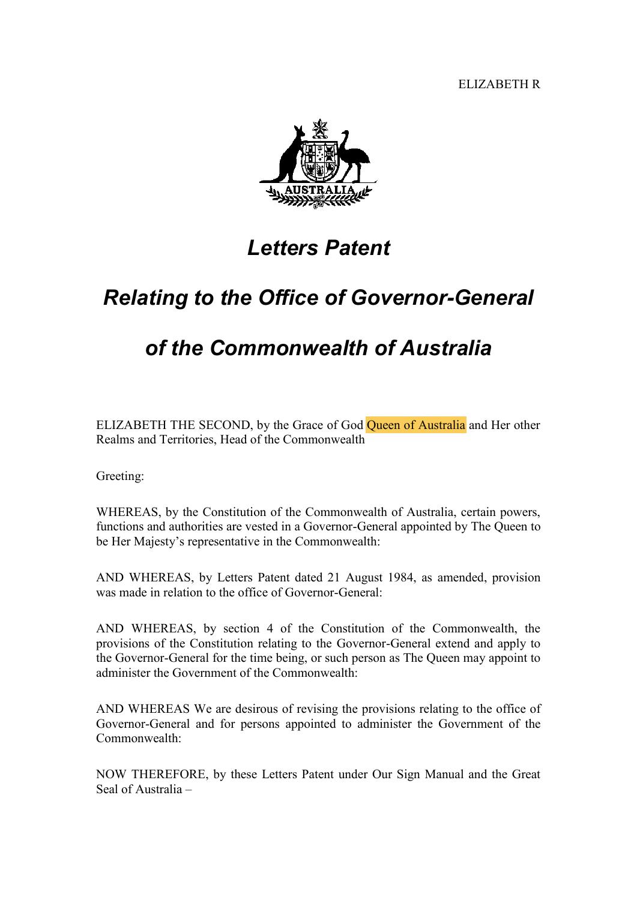ELIZABETH R



## *Letters Patent*

## *Relating to the Office of Governor-General*

## *of the Commonwealth of Australia*

ELIZABETH THE SECOND, by the Grace of God Queen of Australia and Her other Realms and Territories, Head of the Commonwealth

Greeting:

WHEREAS, by the Constitution of the Commonwealth of Australia, certain powers, functions and authorities are vested in a Governor-General appointed by The Queen to be Her Majesty's representative in the Commonwealth:

AND WHEREAS, by Letters Patent dated 21 August 1984, as amended, provision was made in relation to the office of Governor-General:

AND WHEREAS, by section 4 of the Constitution of the Commonwealth, the provisions of the Constitution relating to the Governor-General extend and apply to the Governor-General for the time being, or such person as The Queen may appoint to administer the Government of the Commonwealth:

AND WHEREAS We are desirous of revising the provisions relating to the office of Governor-General and for persons appointed to administer the Government of the Commonwealth:

NOW THEREFORE, by these Letters Patent under Our Sign Manual and the Great Seal of Australia –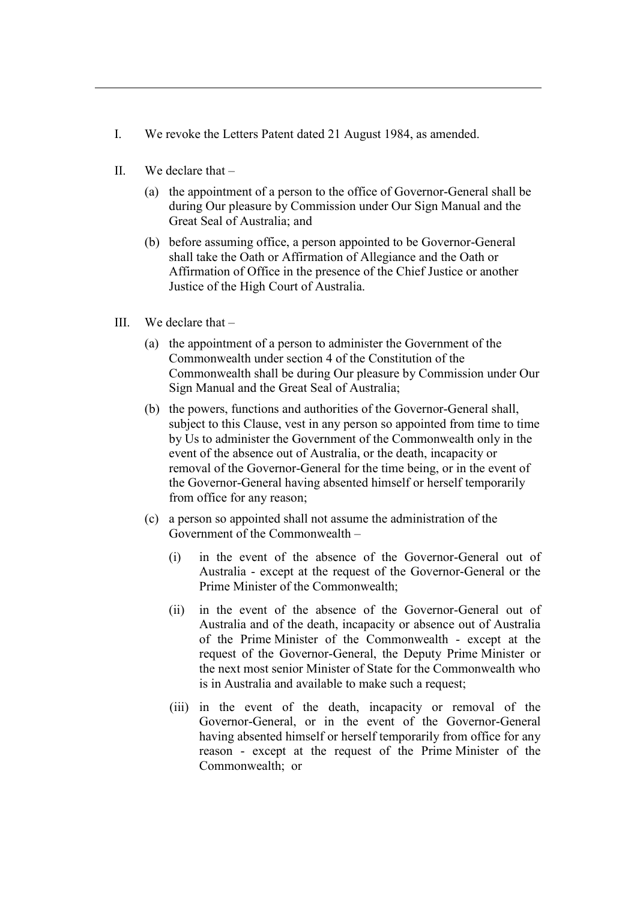- I. We revoke the Letters Patent dated 21 August 1984, as amended.
- II. We declare that
	- (a) the appointment of a person to the office of Governor-General shall be during Our pleasure by Commission under Our Sign Manual and the Great Seal of Australia; and
	- (b) before assuming office, a person appointed to be Governor-General shall take the Oath or Affirmation of Allegiance and the Oath or Affirmation of Office in the presence of the Chief Justice or another Justice of the High Court of Australia.
- III. We declare that
	- (a) the appointment of a person to administer the Government of the Commonwealth under section 4 of the Constitution of the Commonwealth shall be during Our pleasure by Commission under Our Sign Manual and the Great Seal of Australia;
	- (b) the powers, functions and authorities of the Governor-General shall, subject to this Clause, vest in any person so appointed from time to time by Us to administer the Government of the Commonwealth only in the event of the absence out of Australia, or the death, incapacity or removal of the Governor-General for the time being, or in the event of the Governor-General having absented himself or herself temporarily from office for any reason;
	- (c) a person so appointed shall not assume the administration of the Government of the Commonwealth –
		- (i) in the event of the absence of the Governor-General out of Australia - except at the request of the Governor-General or the Prime Minister of the Commonwealth;
		- (ii) in the event of the absence of the Governor-General out of Australia and of the death, incapacity or absence out of Australia of the Prime Minister of the Commonwealth - except at the request of the Governor-General, the Deputy Prime Minister or the next most senior Minister of State for the Commonwealth who is in Australia and available to make such a request;
		- (iii) in the event of the death, incapacity or removal of the Governor-General, or in the event of the Governor-General having absented himself or herself temporarily from office for any reason - except at the request of the Prime Minister of the Commonwealth; or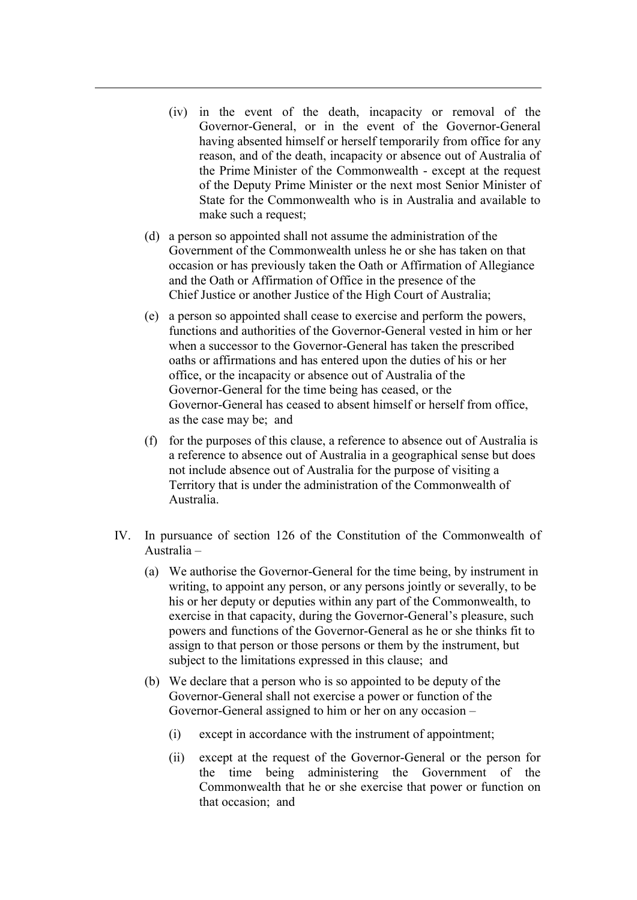- (iv) in the event of the death, incapacity or removal of the Governor-General, or in the event of the Governor-General having absented himself or herself temporarily from office for any reason, and of the death, incapacity or absence out of Australia of the Prime Minister of the Commonwealth - except at the request of the Deputy Prime Minister or the next most Senior Minister of State for the Commonwealth who is in Australia and available to make such a request;
- (d) a person so appointed shall not assume the administration of the Government of the Commonwealth unless he or she has taken on that occasion or has previously taken the Oath or Affirmation of Allegiance and the Oath or Affirmation of Office in the presence of the Chief Justice or another Justice of the High Court of Australia;
- (e) a person so appointed shall cease to exercise and perform the powers, functions and authorities of the Governor-General vested in him or her when a successor to the Governor-General has taken the prescribed oaths or affirmations and has entered upon the duties of his or her office, or the incapacity or absence out of Australia of the Governor-General for the time being has ceased, or the Governor-General has ceased to absent himself or herself from office, as the case may be; and
- (f) for the purposes of this clause, a reference to absence out of Australia is a reference to absence out of Australia in a geographical sense but does not include absence out of Australia for the purpose of visiting a Territory that is under the administration of the Commonwealth of Australia.
- IV. In pursuance of section 126 of the Constitution of the Commonwealth of Australia –
	- (a) We authorise the Governor-General for the time being, by instrument in writing, to appoint any person, or any persons jointly or severally, to be his or her deputy or deputies within any part of the Commonwealth, to exercise in that capacity, during the Governor-General's pleasure, such powers and functions of the Governor-General as he or she thinks fit to assign to that person or those persons or them by the instrument, but subject to the limitations expressed in this clause; and
	- (b) We declare that a person who is so appointed to be deputy of the Governor-General shall not exercise a power or function of the Governor-General assigned to him or her on any occasion –
		- (i) except in accordance with the instrument of appointment;
		- (ii) except at the request of the Governor-General or the person for the time being administering the Government of the Commonwealth that he or she exercise that power or function on that occasion; and